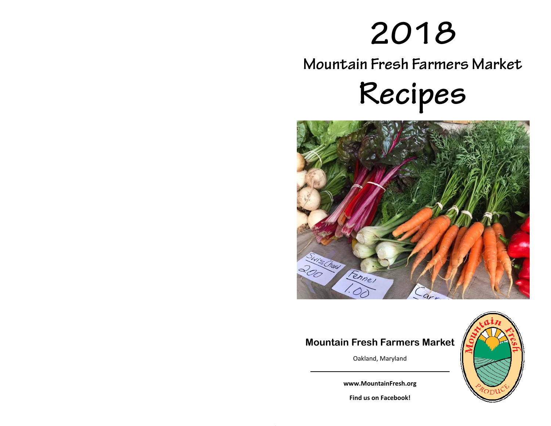# **2018 Mountain Fresh Farmers Market**





## **Mountain Fresh Farmers Market**

Oakland, Maryland



**www.MountainFresh.org** 

**Find us on Facebook!**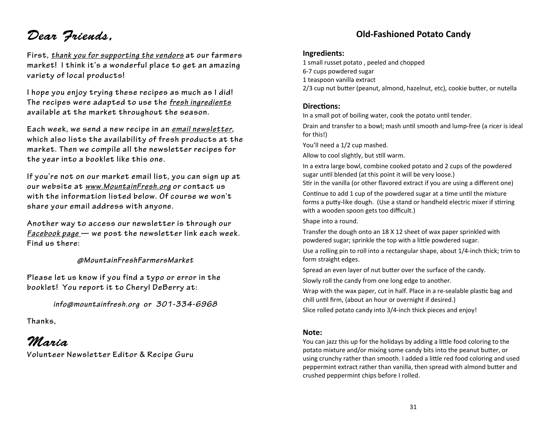# Dear Friends,

**First,** *thank you for supporting the vendors* **at our farmers market! I think it's a wonderful place to get an amazing variety of local products!** 

**I hope you enjoy trying these recipes as much as I did! The recipes were adapted to use the** *fresh ingredients*  **available at the market throughout the season.** 

**Each week, we send a new recipe in an** *email newsletter***, which also lists the availability of fresh products at the market. Then we compile all the newsletter recipes for the year into a booklet like this one.** 

**If you're not on our market email list, you can sign up at our website at** *www.MountainFresh.org* **or contact us with the information listed below. Of course we won't share your email address with anyone.** 

**Another way to access our newsletter is through our**  *Facebook page* **— we post the newsletter link each week. Find us there:** 

*@MountainFreshFarmersMarket* 

**Please let us know if you find a typo or error in the booklet! You report it to Cheryl DeBerry at:** 

*info@mountainfresh.org* **or** *301-334-6968* 

**Thanks,** 

## Maria

**Volunteer Newsletter Editor & Recipe Guru** 

## **Old‐Fashioned Potato Candy**

## **Ingredients:**

1 small russet potato , peeled and chopped

- 6‐7 cups powdered sugar
- 1 teaspoon vanilla extract
- 2/3 cup nut butter (peanut, almond, hazelnut, etc), cookie butter, or nutella

## **DirecƟons:**

In a small pot of boiling water, cook the potato until tender.

Drain and transfer to a bowl; mash until smooth and lump-free (a ricer is ideal for this!)

You'll need a 1/2 cup mashed.

Allow to cool slightly, but still warm.

In a extra large bowl, combine cooked potato and 2 cups of the powdered sugar until blended (at this point it will be very loose.)

Stir in the vanilla (or other flavored extract if you are using a different one)

Continue to add 1 cup of the powdered sugar at a time until the mixture forms a putty-like dough. (Use a stand or handheld electric mixer if stirring with a wooden spoon gets too difficult.)

Shape into a round.

Transfer the dough onto an 18 X 12 sheet of wax paper sprinkled with powdered sugar; sprinkle the top with a little powdered sugar.

Use a rolling pin to roll into a rectangular shape, about 1/4‐inch thick; trim to form straight edges.

Spread an even layer of nut butter over the surface of the candy.

Slowly roll the candy from one long edge to another.

Wrap with the wax paper, cut in half. Place in a re-sealable plastic bag and chill until firm, (about an hour or overnight if desired.)

Slice rolled potato candy into 3/4‐inch thick pieces and enjoy!

## **Note:**

You can jazz this up for the holidays by adding a little food coloring to the potato mixture and/or mixing some candy bits into the peanut butter, or using crunchy rather than smooth. I added a little red food coloring and used peppermint extract rather than vanilla, then spread with almond butter and crushed peppermint chips before I rolled.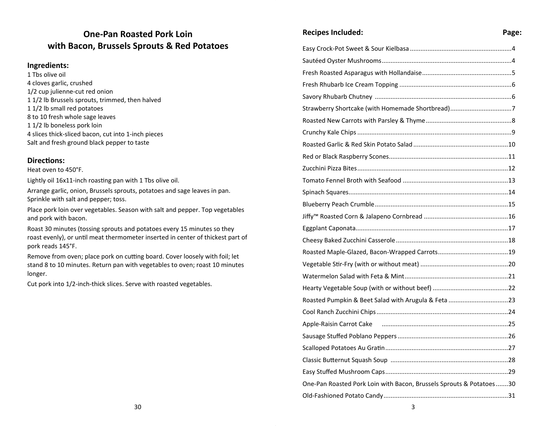## **One‐Pan Roasted Pork Loin with Bacon, Brussels Sprouts & Red Potatoes**

## **Ingredients:**

1 Tbs olive oil 4 cloves garlic, crushed 1/2 cup julienne‐cut red onion 1 1/2 lb Brussels sprouts, trimmed, then halved 1 1/2 lb small red potatoes 8 to 10 fresh whole sage leaves 1 1/2 lb boneless pork loin 4 slices thick‐sliced bacon, cut into 1‐inch pieces Salt and fresh ground black pepper to taste

#### **DirecƟons:**

Heat oven to 450°F.

Lightly oil 16x11-inch roasting pan with 1 Tbs olive oil.

Arrange garlic, onion, Brussels sprouts, potatoes and sage leaves in pan. Sprinkle with salt and pepper; toss.

Place pork loin over vegetables. Season with salt and pepper. Top vegetables and pork with bacon.

Roast 30 minutes (tossing sprouts and potatoes every 15 minutes so they roast evenly), or until meat thermometer inserted in center of thickest part of pork reads 145°F.

Remove from oven; place pork on cutting board. Cover loosely with foil; let stand 8 to 10 minutes. Return pan with vegetables to oven; roast 10 minutes longer.

Cut pork into 1/2-inch-thick slices. Serve with roasted vegetables.

## **Recipes Included: Page:**

| Strawberry Shortcake (with Homemade Shortbread)7                      |
|-----------------------------------------------------------------------|
|                                                                       |
|                                                                       |
|                                                                       |
|                                                                       |
|                                                                       |
|                                                                       |
|                                                                       |
|                                                                       |
|                                                                       |
|                                                                       |
|                                                                       |
|                                                                       |
|                                                                       |
|                                                                       |
|                                                                       |
|                                                                       |
| Roasted Pumpkin & Beet Salad with Arugula & Feta 23                   |
|                                                                       |
| Apple-Raisin Carrot Cake (2000) 25 Apple-Raisin Carrot Cake (2000) 25 |
|                                                                       |
|                                                                       |
|                                                                       |
|                                                                       |
| One-Pan Roasted Pork Loin with Bacon, Brussels Sprouts & Potatoes30   |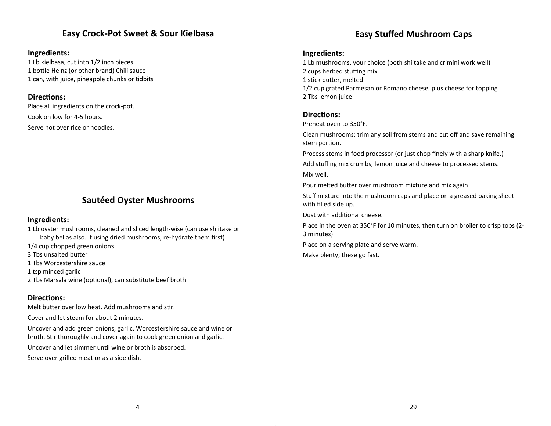## **Easy Crock‐Pot Sweet & Sour Kielbasa**

#### **Ingredients:**

1 Lb kielbasa, cut into 1/2 inch pieces 1 bottle Heinz (or other brand) Chili sauce 1 can, with juice, pineapple chunks or tidbits

## **DirecƟons:**

Place all ingredients on the crock‐pot. Cook on low for 4‐5 hours. Serve hot over rice or noodles.

## **Sautéed Oyster Mushrooms**

#### **Ingredients:**

1 Lb oyster mushrooms, cleaned and sliced length‐wise (can use shiitake or baby bellas also. If using dried mushrooms, re‐hydrate them first) 1/4 cup chopped green onions 3 Tbs unsalted buƩer 1 Tbs Worcestershire sauce 1 tsp minced garlic 2 Tbs Marsala wine (optional), can substitute beef broth

#### **DirecƟons:**

Melt butter over low heat. Add mushrooms and stir.

Cover and let steam for about 2 minutes.

Uncover and add green onions, garlic, Worcestershire sauce and wine or broth. Stir thoroughly and cover again to cook green onion and garlic.

Uncover and let simmer until wine or broth is absorbed.

Serve over grilled meat or as a side dish.

## **Easy Stuffed Mushroom Caps**

#### **Ingredients:**

1 Lb mushrooms, your choice (both shiitake and crimini work well) 2 cups herbed stuffing mix 1 stick butter, melted 1/2 cup grated Parmesan or Romano cheese, plus cheese for topping 2 Tbs lemon juice

## **DirecƟons:**

Preheat oven to 350°F.

Clean mushrooms: trim any soil from stems and cut off and save remaining stem portion.

Process stems in food processor (or just chop finely with a sharp knife.)

Add stuffing mix crumbs, lemon juice and cheese to processed stems. Mix well.

Pour melted butter over mushroom mixture and mix again.

Stuff mixture into the mushroom caps and place on a greased baking sheet with filled side up.

Dust with additional cheese.

Place in the oven at 350°F for 10 minutes, then turn on broiler to crisp tops (2‐ 3 minutes)

Place on a serving plate and serve warm.

Make plenty; these go fast.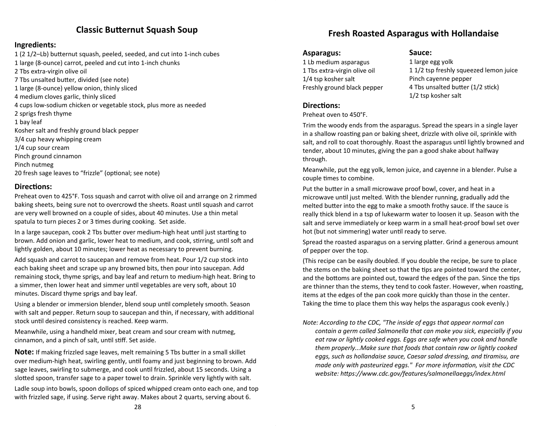## **Classic Butternut Squash Soup**

## **Ingredients:**

1 (2 1/2–Lb) buƩernut squash, peeled, seeded, and cut into 1‐inch cubes 1 large (8‐ounce) carrot, peeled and cut into 1‐inch chunks 2 Tbs extra‐virgin olive oil 7 Tbs unsalted butter, divided (see note) 1 large (8‐ounce) yellow onion, thinly sliced 4 medium cloves garlic, thinly sliced 4 cups low‐sodium chicken or vegetable stock, plus more as needed 2 sprigs fresh thyme 1 bay leaf Kosher salt and freshly ground black pepper 3/4 cup heavy whipping cream 1/4 cup sour cream Pinch ground cinnamon Pinch nutmeg 20 fresh sage leaves to "frizzle" (optional; see note)

#### **DirecƟons:**

Preheat oven to 425°F. Toss squash and carrot with olive oil and arrange on 2 rimmed baking sheets, being sure not to overcrowd the sheets. Roast until squash and carrot are very well browned on a couple of sides, about 40 minutes. Use a thin metal spatula to turn pieces 2 or 3 times during cooking. Set aside.

In a large saucepan, cook 2 Tbs butter over medium-high heat until just starting to brown. Add onion and garlic, lower heat to medium, and cook, stirring, until soft and lightly golden, about 10 minutes; lower heat as necessary to prevent burning.

Add squash and carrot to saucepan and remove from heat. Pour 1/2 cup stock into each baking sheet and scrape up any browned bits, then pour into saucepan. Add remaining stock, thyme sprigs, and bay leaf and return to medium‐high heat. Bring to a simmer, then lower heat and simmer until vegetables are very soft, about 10 minutes. Discard thyme sprigs and bay leaf.

Using a blender or immersion blender, blend soup until completely smooth. Season with salt and pepper. Return soup to saucepan and thin, if necessary, with additional stock until desired consistency is reached. Keep warm.

Meanwhile, using a handheld mixer, beat cream and sour cream with nutmeg, cinnamon, and a pinch of salt, until stiff. Set aside.

**Note:** If making frizzled sage leaves, melt remaining 5 Tbs butter in a small skillet over medium-high heat, swirling gently, until foamy and just beginning to brown. Add sage leaves, swirling to submerge, and cook until frizzled, about 15 seconds. Using a slotted spoon, transfer sage to a paper towel to drain. Sprinkle very lightly with salt.

Ladle soup into bowls, spoon dollops of spiced whipped cream onto each one, and top with frizzled sage, if using. Serve right away. Makes about 2 quarts, serving about 6.

**Sauce:** 

1 large egg yolk

Pinch cayenne pepper

1/2 tsp kosher salt

1 1/2 tsp freshly squeezed lemon juice

4 Tbs unsalted butter (1/2 stick)

#### **Asparagus:**

1 Lb medium asparagus 1 Tbs extra‐virgin olive oil 1/4 tsp kosher salt Freshly ground black pepper

#### **DirecƟons:**

Preheat oven to 450°F.

Trim the woody ends from the asparagus. Spread the spears in a single layer in a shallow roasting pan or baking sheet, drizzle with olive oil, sprinkle with salt, and roll to coat thoroughly. Roast the asparagus until lightly browned and tender, about 10 minutes, giving the pan a good shake about halfway through.

Meanwhile, put the egg yolk, lemon juice, and cayenne in a blender. Pulse a couple times to combine.

Put the butter in a small microwave proof bowl, cover, and heat in a microwave until just melted. With the blender running, gradually add the melted butter into the egg to make a smooth frothy sauce. If the sauce is really thick blend in a tsp of lukewarm water to loosen it up. Season with the salt and serve immediately or keep warm in a small heat‐proof bowl set over hot (but not simmering) water until ready to serve.

Spread the roasted asparagus on a serving platter. Grind a generous amount of pepper over the top.

(This recipe can be easily doubled. If you double the recipe, be sure to place the stems on the baking sheet so that the tips are pointed toward the center, and the bottoms are pointed out, toward the edges of the pan. Since the tips are thinner than the stems, they tend to cook faster. However, when roasting, items at the edges of the pan cook more quickly than those in the center. Taking the time to place them this way helps the asparagus cook evenly.)

*Note: According to the CDC, "The inside of eggs that appear normal can contain a germ called Salmonella that can make you sick, especially if you eat raw or lightly cooked eggs. Eggs are safe when you cook and handle them properly...Make sure that foods that contain raw or lightly cooked eggs, such as hollandaise sauce, Caesar salad dressing, and Ɵramisu, are made only with pasteurized eggs." For more information, visit the CDC website: hƩps://www.cdc.gov/features/salmonellaeggs/index.html*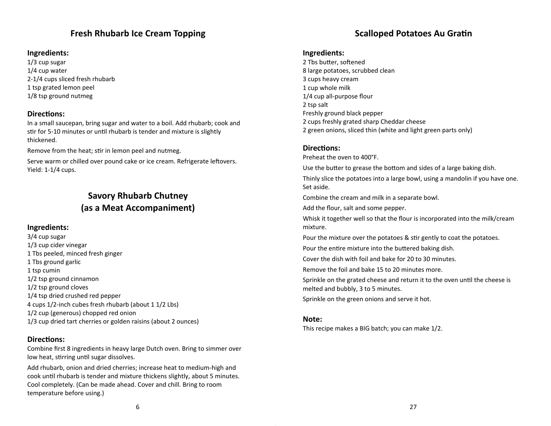## **Fresh Rhubarb Ice Cream Topping**

#### **Ingredients:**

- 1/3 cup sugar 1/4 cup water 2‐1/4 cups sliced fresh rhubarb 1 tsp grated lemon peel
- 1/8 tsp ground nutmeg

## **DirecƟons:**

In a small saucepan, bring sugar and water to a boil. Add rhubarb; cook and stir for 5-10 minutes or until rhubarb is tender and mixture is slightly thickened.

Remove from the heat; stir in lemon peel and nutmeg.

Serve warm or chilled over pound cake or ice cream. Refrigerate leftovers. Yield: 1‐1/4 cups.

## **Savory Rhubarb Chutney (as a Meat Accompaniment)**

#### **Ingredients:**

3/4 cup sugar 1/3 cup cider vinegar 1 Tbs peeled, minced fresh ginger 1 Tbs ground garlic 1 tsp cumin 1/2 tsp ground cinnamon 1/2 tsp ground cloves 1/4 tsp dried crushed red pepper 4 cups 1/2‐inch cubes fresh rhubarb (about 1 1/2 Lbs) 1/2 cup (generous) chopped red onion 1/3 cup dried tart cherries or golden raisins (about 2 ounces)

#### **DirecƟons:**

Combine first 8 ingredients in heavy large Dutch oven. Bring to simmer over low heat, stirring until sugar dissolves.

Add rhubarb, onion and dried cherries; increase heat to medium‐high and cook until rhubarb is tender and mixture thickens slightly, about 5 minutes. Cool completely. (Can be made ahead. Cover and chill. Bring to room temperature before using.)

## **Scalloped Potatoes Au Gratin**

#### **Ingredients:**

2 Tbs butter, softened 8 large potatoes, scrubbed clean 3 cups heavy cream 1 cup whole milk 1/4 cup all‐purpose flour 2 tsp salt Freshly ground black pepper 2 cups freshly grated sharp Cheddar cheese 2 green onions, sliced thin (white and light green parts only)

#### **DirecƟons:**

Preheat the oven to 400°F.

Use the butter to grease the bottom and sides of a large baking dish.

Thinly slice the potatoes into a large bowl, using a mandolin if you have one. Set aside.

Combine the cream and milk in a separate bowl.

Add the flour, salt and some pepper.

Whisk it together well so that the flour is incorporated into the milk/cream mixture.

Pour the mixture over the potatoes & stir gently to coat the potatoes.

Pour the entire mixture into the buttered baking dish.

Cover the dish with foil and bake for 20 to 30 minutes.

Remove the foil and bake 15 to 20 minutes more.

Sprinkle on the grated cheese and return it to the oven until the cheese is melted and bubbly, 3 to 5 minutes.

Sprinkle on the green onions and serve it hot.

#### **Note:**

This recipe makes a BIG batch; you can make 1/2.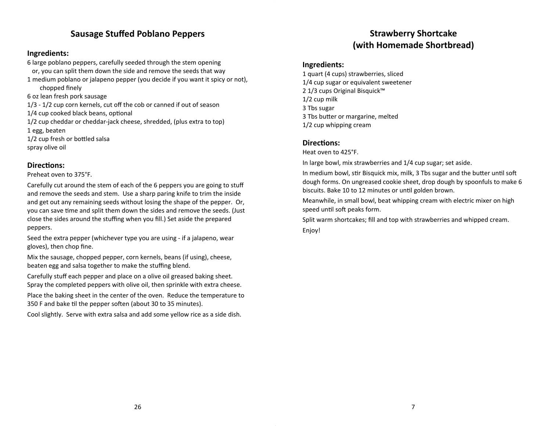## **Sausage Stuffed Poblano Peppers**

## **Ingredients:**

6 large poblano peppers, carefully seeded through the stem opening or, you can split them down the side and remove the seeds that way 1 medium poblano or jalapeno pepper (you decide if you want it spicy or not), chopped finely 6 oz lean fresh pork sausage 1/3 ‐ 1/2 cup corn kernels, cut off the cob or canned if out of season 1/4 cup cooked black beans, optional 1/2 cup cheddar or cheddar‐jack cheese, shredded, (plus extra to top) 1 egg, beaten 1/2 cup fresh or bottled salsa spray olive oil

## **DirecƟons:**

#### Preheat oven to 375°F.

Carefully cut around the stem of each of the 6 peppers you are going to stuff and remove the seeds and stem. Use a sharp paring knife to trim the inside and get out any remaining seeds without losing the shape of the pepper. Or, you can save time and split them down the sides and remove the seeds. (Just close the sides around the stuffing when you fill.) Set aside the prepared peppers.

Seed the extra pepper (whichever type you are using ‐ if a jalapeno, wear gloves), then chop fine.

Mix the sausage, chopped pepper, corn kernels, beans (if using), cheese, beaten egg and salsa together to make the stuffing blend.

Carefully stuff each pepper and place on a olive oil greased baking sheet. Spray the completed peppers with olive oil, then sprinkle with extra cheese.

Place the baking sheet in the center of the oven. Reduce the temperature to 350 F and bake til the pepper soften (about 30 to 35 minutes).

Cool slightly. Serve with extra salsa and add some yellow rice as a side dish.

## **Strawberry Shortcake (with Homemade Shortbread)**

## **Ingredients:**

1 quart (4 cups) strawberries, sliced 1/4 cup sugar or equivalent sweetener 2 1/3 cups Original Bisquick™ 1/2 cup milk 3 Tbs sugar 3 Tbs butter or margarine, melted 1/2 cup whipping cream

## **DirecƟons:**

Heat oven to 425°F.

In large bowl, mix strawberries and 1/4 cup sugar; set aside.

In medium bowl, stir Bisquick mix, milk, 3 Tbs sugar and the butter until soft dough forms. On ungreased cookie sheet, drop dough by spoonfuls to make 6 biscuits. Bake 10 to 12 minutes or until golden brown.

Meanwhile, in small bowl, beat whipping cream with electric mixer on high speed until soft peaks form.

Split warm shortcakes; fill and top with strawberries and whipped cream. Enjoy!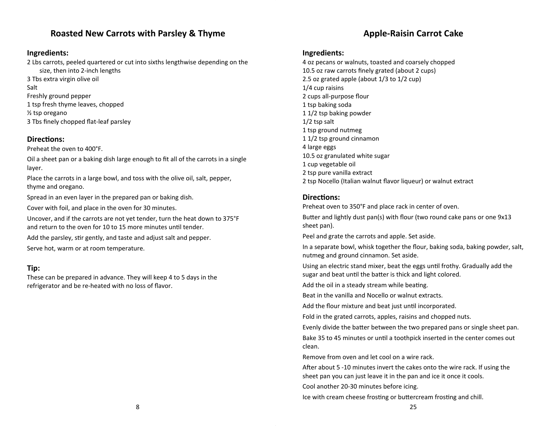## **Roasted New Carrots with Parsley & Thyme**

#### **Ingredients:**

2 Lbs carrots, peeled quartered or cut into sixths lengthwise depending on the size, then into 2‐inch lengths 3 Tbs extra virgin olive oil Salt Freshly ground pepper 1 tsp fresh thyme leaves, chopped ½ tsp oregano

3 Tbs finely chopped flat‐leaf parsley

## **DirecƟons:**

Preheat the oven to 400°F.

Oil a sheet pan or a baking dish large enough to fit all of the carrots in a single layer.

Place the carrots in a large bowl, and toss with the olive oil, salt, pepper, thyme and oregano.

Spread in an even layer in the prepared pan or baking dish.

Cover with foil, and place in the oven for 30 minutes.

Uncover, and if the carrots are not yet tender, turn the heat down to 375°F and return to the oven for 10 to 15 more minutes until tender.

Add the parsley, stir gently, and taste and adjust salt and pepper. Serve hot, warm or at room temperature.

#### **Tip:**

These can be prepared in advance. They will keep 4 to 5 days in the refrigerator and be re‐heated with no loss of flavor.

## **Apple‐Raisin Carrot Cake**

#### **Ingredients:**

4 oz pecans or walnuts, toasted and coarsely chopped 10.5 oz raw carrots finely grated (about 2 cups) 2.5 oz grated apple (about 1/3 to 1/2 cup) 1/4 cup raisins 2 cups all‐purpose flour 1 tsp baking soda 1 1/2 tsp baking powder 1/2 tsp salt 1 tsp ground nutmeg 1 1/2 tsp ground cinnamon 4 large eggs 10.5 oz granulated white sugar 1 cup vegetable oil 2 tsp pure vanilla extract 2 tsp Nocello (Italian walnut flavor liqueur) or walnut extract

#### Directions:

Preheat oven to 350°F and place rack in center of oven.

Butter and lightly dust pan(s) with flour (two round cake pans or one  $9x13$ sheet pan).

Peel and grate the carrots and apple. Set aside.

In a separate bowl, whisk together the flour, baking soda, baking powder, salt, nutmeg and ground cinnamon. Set aside.

Using an electric stand mixer, beat the eggs until frothy. Gradually add the sugar and beat until the batter is thick and light colored.

Add the oil in a steady stream while beating.

Beat in the vanilla and Nocello or walnut extracts.

Add the flour mixture and beat just until incorporated.

Fold in the grated carrots, apples, raisins and chopped nuts.

Evenly divide the batter between the two prepared pans or single sheet pan.

Bake 35 to 45 minutes or until a toothpick inserted in the center comes out clean.

Remove from oven and let cool on a wire rack.

After about 5 -10 minutes invert the cakes onto the wire rack. If using the sheet pan you can just leave it in the pan and ice it once it cools.

Cool another 20‐30 minutes before icing.

Ice with cream cheese frosting or buttercream frosting and chill.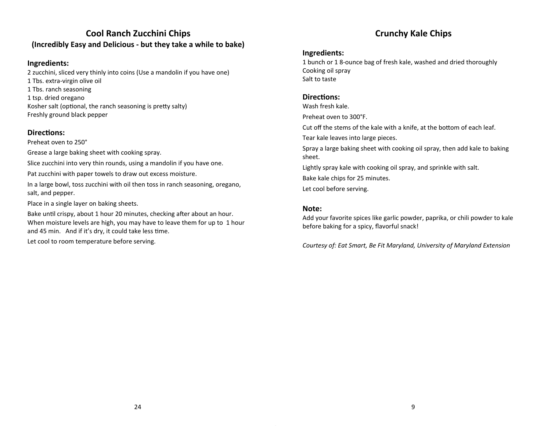## **Cool Ranch Zucchini Chips (Incredibly Easy and Delicious ‐ but they take a while to bake)**

## **Ingredients:**

2 zucchini, sliced very thinly into coins (Use a mandolin if you have one) 1 Tbs. extra‐virgin olive oil 1 Tbs. ranch seasoning 1 tsp. dried oregano Kosher salt (optional, the ranch seasoning is pretty salty) Freshly ground black pepper

## **DirecƟons:**

Preheat oven to 250°

Grease a large baking sheet with cooking spray.

Slice zucchini into very thin rounds, using a mandolin if you have one.

Pat zucchini with paper towels to draw out excess moisture.

In a large bowl, toss zucchini with oil then toss in ranch seasoning, oregano, salt, and pepper.

Place in a single layer on baking sheets.

Bake until crispy, about 1 hour 20 minutes, checking after about an hour. When moisture levels are high, you may have to leave them for up to 1 hour and 45 min. And if it's dry, it could take less time.

Let cool to room temperature before serving.

## **Crunchy Kale Chips**

## **Ingredients:**

1 bunch or 1 8‐ounce bag of fresh kale, washed and dried thoroughly Cooking oil spray Salt to taste

## **DirecƟons:**

Wash fresh kale.

Preheat oven to 300°F.

Cut off the stems of the kale with a knife, at the bottom of each leaf.

Tear kale leaves into large pieces.

Spray a large baking sheet with cooking oil spray, then add kale to baking sheet.

Lightly spray kale with cooking oil spray, and sprinkle with salt.

Bake kale chips for 25 minutes.

Let cool before serving.

## **Note:**

Add your favorite spices like garlic powder, paprika, or chili powder to kale before baking for a spicy, flavorful snack!

*Courtesy of: Eat Smart, Be Fit Maryland, University of Maryland Extension*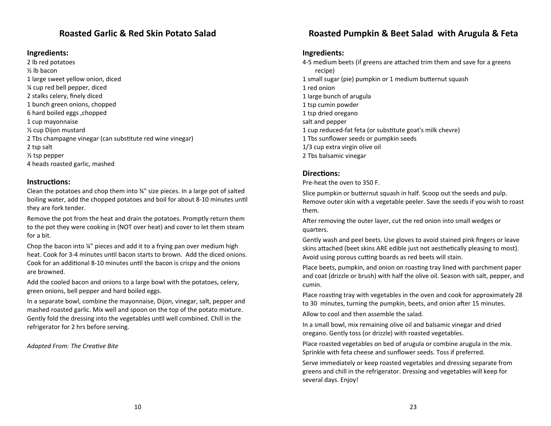## **Roasted Garlic & Red Skin Potato Salad**

## **Ingredients:**

2 lb red potatoes ½ lb bacon 1 large sweet yellow onion, diced ¼ cup red bell pepper, diced 2 stalks celery, finely diced 1 bunch green onions, chopped 6 hard boiled eggs ,chopped 1 cup mayonnaise ⅓ cup Dijon mustard 2 Tbs champagne vinegar (can substitute red wine vinegar) 2 tsp salt ½ tsp pepper 4 heads roasted garlic, mashed

#### **InstrucƟons:**

Clean the potatoes and chop them into ¾" size pieces. In a large pot of salted boiling water, add the chopped potatoes and boil for about 8-10 minutes until they are fork tender.

Remove the pot from the heat and drain the potatoes. Promptly return them to the pot they were cooking in (NOT over heat) and cover to let them steam for a bit.

Chop the bacon into ¼" pieces and add it to a frying pan over medium high heat. Cook for 3-4 minutes until bacon starts to brown. Add the diced onions. Cook for an additional 8-10 minutes until the bacon is crispy and the onions are browned.

Add the cooled bacon and onions to a large bowl with the potatoes, celery, green onions, bell pepper and hard boiled eggs.

In a separate bowl, combine the mayonnaise, Dijon, vinegar, salt, pepper and mashed roasted garlic. Mix well and spoon on the top of the potato mixture. Gently fold the dressing into the vegetables until well combined. Chill in the refrigerator for 2 hrs before serving.

*Adapted From: The CreaƟve Bite* 

## **Roasted Pumpkin & Beet Salad with Arugula & Feta**

#### **Ingredients:**

4-5 medium beets (if greens are attached trim them and save for a greens recipe) 1 small sugar (pie) pumpkin or 1 medium butternut squash 1 red onion 1 large bunch of arugula 1 tsp cumin powder 1 tsp dried oregano salt and pepper 1 cup reduced-fat feta (or substitute goat's milk chevre) 1 Tbs sunflower seeds or pumpkin seeds 1/3 cup extra virgin olive oil 2 Tbs balsamic vinegar

## **DirecƟons:**

Pre‐heat the oven to 350 F.

Slice pumpkin or butternut squash in half. Scoop out the seeds and pulp. Remove outer skin with a vegetable peeler. Save the seeds if you wish to roast them.

After removing the outer layer, cut the red onion into small wedges or quarters.

Gently wash and peel beets. Use gloves to avoid stained pink fingers or leave skins attached (beet skins ARE edible just not aesthetically pleasing to most). Avoid using porous cutting boards as red beets will stain.

Place beets, pumpkin, and onion on roasting tray lined with parchment paper and coat (drizzle or brush) with half the olive oil. Season with salt, pepper, and cumin.

Place roasting tray with vegetables in the oven and cook for approximately 28 to 30 minutes, turning the pumpkin, beets, and onion after 15 minutes.

Allow to cool and then assemble the salad.

In a small bowl, mix remaining olive oil and balsamic vinegar and dried oregano. Gently toss (or drizzle) with roasted vegetables.

Place roasted vegetables on bed of arugula or combine arugula in the mix. Sprinkle with feta cheese and sunflower seeds. Toss if preferred.

Serve immediately or keep roasted vegetables and dressing separate from greens and chill in the refrigerator. Dressing and vegetables will keep for several days. Enjoy!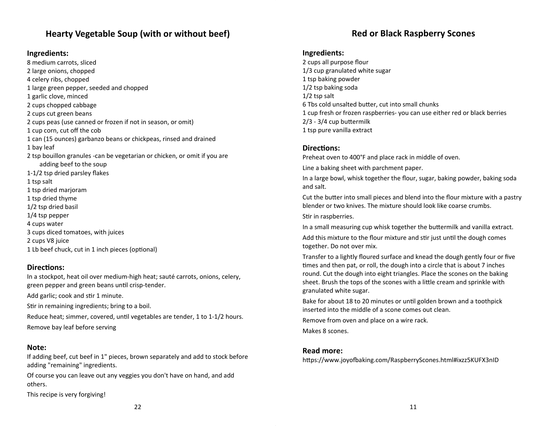## **Hearty Vegetable Soup (with or without beef)**

#### **Ingredients:**

8 medium carrots, sliced 2 large onions, chopped 4 celery ribs, chopped 1 large green pepper, seeded and chopped 1 garlic clove, minced 2 cups chopped cabbage 2 cups cut green beans 2 cups peas (use canned or frozen if not in season, or omit) 1 cup corn, cut off the cob 1 can (15 ounces) garbanzo beans or chickpeas, rinsed and drained 1 bay leaf 2 tsp bouillon granules ‐can be vegetarian or chicken, or omit if you are adding beef to the soup 1‐1/2 tsp dried parsley flakes 1 tsp salt 1 tsp dried marjoram 1 tsp dried thyme 1/2 tsp dried basil 1/4 tsp pepper 4 cups water 3 cups diced tomatoes, with juices 2 cups V8 juice 1 Lb beef chuck, cut in 1 inch pieces (optional)

## Directions:

In a stockpot, heat oil over medium‐high heat; sauté carrots, onions, celery, green pepper and green beans until crisp-tender.

Add garlic; cook and stir 1 minute.

Stir in remaining ingredients; bring to a boil.

Reduce heat; simmer, covered, until vegetables are tender, 1 to 1-1/2 hours. Remove bay leaf before serving

#### **Note:**

If adding beef, cut beef in 1" pieces, brown separately and add to stock before adding "remaining" ingredients.

Of course you can leave out any veggies you don't have on hand, and add others.

This recipe is very forgiving!

## **Red or Black Raspberry Scones**

## **Ingredients:**

2 cups all purpose flour 1/3 cup granulated white sugar 1 tsp baking powder 1/2 tsp baking soda 1/2 tsp salt 6 Tbs cold unsalted buƩer, cut into small chunks 1 cup fresh or frozen raspberries‐ you can use either red or black berries 2/3 - 3/4 cup buttermilk 1 tsp pure vanilla extract

#### **DirecƟons:**

Preheat oven to 400°F and place rack in middle of oven.

Line a baking sheet with parchment paper.

In a large bowl, whisk together the flour, sugar, baking powder, baking soda and salt.

Cut the butter into small pieces and blend into the flour mixture with a pastry blender or two knives. The mixture should look like coarse crumbs.

Stir in raspberries.

In a small measuring cup whisk together the buttermilk and vanilla extract.

Add this mixture to the flour mixture and stir just until the dough comes together. Do not over mix.

Transfer to a lightly floured surface and knead the dough gently four or five times and then pat, or roll, the dough into a circle that is about 7 inches round. Cut the dough into eight triangles. Place the scones on the baking sheet. Brush the tops of the scones with a little cream and sprinkle with granulated white sugar.

Bake for about 18 to 20 minutes or until golden brown and a toothpick inserted into the middle of a scone comes out clean.

Remove from oven and place on a wire rack.

Makes 8 scones.

#### **Read more:**

https://www.joyofbaking.com/RaspberryScones.html#ixzz5KUFX3nID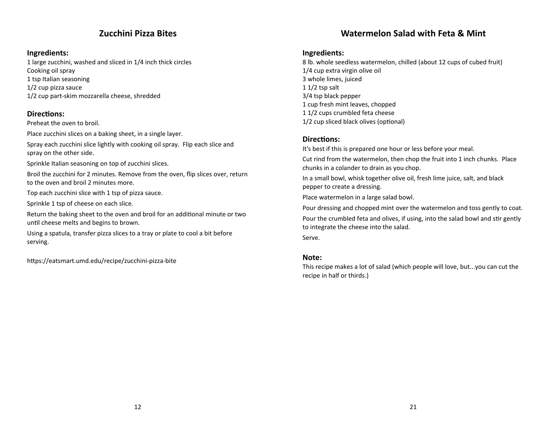## **Zucchini Pizza Bites**

## **Ingredients:**

1 large zucchini, washed and sliced in 1/4 inch thick circles Cooking oil spray 1 tsp Italian seasoning 1/2 cup pizza sauce 1/2 cup part‐skim mozzarella cheese, shredded

## **DirecƟons:**

Preheat the oven to broil.

Place zucchini slices on a baking sheet, in a single layer.

Spray each zucchini slice lightly with cooking oil spray. Flip each slice and spray on the other side.

Sprinkle Italian seasoning on top of zucchini slices.

Broil the zucchini for 2 minutes. Remove from the oven, flip slices over, return to the oven and broil 2 minutes more.

Top each zucchini slice with 1 tsp of pizza sauce.

Sprinkle 1 tsp of cheese on each slice.

Return the baking sheet to the oven and broil for an additional minute or two until cheese melts and begins to brown.

Using a spatula, transfer pizza slices to a tray or plate to cool a bit before serving.

https://eatsmart.umd.edu/recipe/zucchini-pizza-bite

## **Watermelon Salad with Feta & Mint**

## **Ingredients:**

8 lb. whole seedless watermelon, chilled (about 12 cups of cubed fruit) 1/4 cup extra virgin olive oil 3 whole limes, juiced 1 1/2 tsp salt 3/4 tsp black pepper 1 cup fresh mint leaves, chopped 1 1/2 cups crumbled feta cheese 1/2 cup sliced black olives (optional)

## **DirecƟons:**

It's best if this is prepared one hour or less before your meal.

Cut rind from the watermelon, then chop the fruit into 1 inch chunks. Place chunks in a colander to drain as you chop.

In a small bowl, whisk together olive oil, fresh lime juice, salt, and black pepper to create a dressing.

Place watermelon in a large salad bowl.

Pour dressing and chopped mint over the watermelon and toss gently to coat. Pour the crumbled feta and olives, if using, into the salad bowl and stir gently to integrate the cheese into the salad.

Serve.

## **Note:**

This recipe makes a lot of salad (which people will love, but...you can cut the recipe in half or thirds.)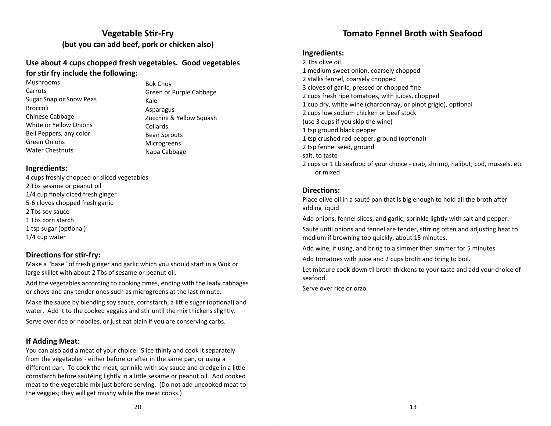## **Vegetable SƟr‐Fry (but you can add beef, pork or chicken also)**

## **Use about 4 cups chopped fresh vegetables. Good vegetables**  for stir fry include the following:

| <b>Bok Chov</b>          |
|--------------------------|
|                          |
| Green or Purple Cabbage  |
| Kale                     |
| Asparagus                |
| Zucchini & Yellow Squash |
| Collards                 |
| <b>Bean Sprouts</b>      |
| Microgreens              |
| Napa Cabbage             |
|                          |

## **Ingredients:**

4 cups freshly chopped or sliced vegetables 2 Tbs sesame or peanut oil 1/4 cup finely diced fresh ginger 5‐6 cloves chopped fresh garlic 2 Tbs soy sauce 1 Tbs corn starch 1 tsp sugar (optional) 1/4 cup water

## Directions for stir-fry:

Make a "base" of fresh ginger and garlic which you should start in a Wok or large skillet with about 2 Tbs of sesame or peanut oil.

Add the vegetables according to cooking times, ending with the leafy cabbages or choys and any tender ones such as microgreens at the last minute.

Make the sauce by blending soy sauce, cornstarch, a little sugar (optional) and water. Add it to the cooked veggies and stir until the mix thickens slightly. Serve over rice or noodles, or just eat plain if you are conserving carbs.

## **If Adding Meat:**

You can also add a meat of your choice. Slice thinly and cook it separately from the vegetables - either before or after in the same pan, or using a different pan. To cook the meat, sprinkle with soy sauce and dredge in a little cornstarch before sautéing lightly in a little sesame or peanut oil. Add cooked meat to the vegetable mix just before serving. (Do not add uncooked meat to the veggies; they will get mushy while the meat cooks.)

## **Tomato Fennel Broth with Seafood**

## **Ingredients:**

2 Tbs olive oil 1 medium sweet onion, coarsely chopped 2 stalks fennel, coarsely chopped 3 cloves of garlic, pressed or chopped fine 2 cups fresh ripe tomatoes, with juices, chopped 1 cup dry, white wine (chardonnay, or pinot grigio), optional 2 cups low sodium chicken or beef stock (use 3 cups if you skip the wine) 1 tsp ground black pepper 1 tsp crushed red pepper, ground (optional) 2 tsp fennel seed, ground salt, to taste 2 cups or 1 Lb seafood of your choice ‐ crab, shrimp, halibut, cod, mussels, etc or mixed

## **DirecƟons:**

Place olive oil in a sauté pan that is big enough to hold all the broth after adding liquid

Add onions, fennel slices, and garlic; sprinkle lightly with salt and pepper.

Sauté until onions and fennel are tender, stirring often and adjusting heat to medium if browning too quickly, about 15 minutes.

Add wine, if using, and bring to a simmer then simmer for 5 minutes

Add tomatoes with juice and 2 cups broth and bring to boil.

Let mixture cook down til broth thickens to your taste and add your choice of seafood.

Serve over rice or orzo.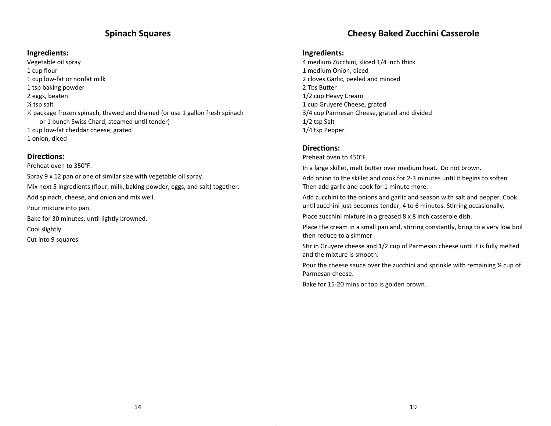## **Spinach Squares**

## **Ingredients:**

Vegetable oil spray 1 cup flour 1 cup low‐fat or nonfat milk 1 tsp baking powder 2 eggs, beaten ½ tsp salt ½ package frozen spinach, thawed and drained (or use 1 gallon fresh spinach or 1 bunch Swiss Chard, steamed until tender) 1 cup low‐fat cheddar cheese, grated 1 onion, diced

## **DirecƟons:**

Preheat oven to 350°F. Spray 9 x 12 pan or one of similar size with vegetable oil spray. Mix next 5 ingredients (flour, milk, baking powder, eggs, and salt) together. Add spinach, cheese, and onion and mix well. Pour mixture into pan. Bake for 30 minutes, until lightly browned. Cool slightly. Cut into 9 squares.

## **Cheesy Baked Zucchini Casserole**

## **Ingredients:**

4 medium Zucchini, sliced 1/4 inch thick 1 medium Onion, diced 2 cloves Garlic, peeled and minced 2 Tbs BuƩer 1/2 cup Heavy Cream 1 cup Gruyere Cheese, grated 3/4 cup Parmesan Cheese, grated and divided 1/2 tsp Salt 1/4 tsp Pepper

## **DirecƟons:**

Preheat oven to 450°F.

In a large skillet, melt butter over medium heat. Do not brown.

Add onion to the skillet and cook for 2-3 minutes until it begins to soften. Then add garlic and cook for 1 minute more.

Add zucchini to the onions and garlic and season with salt and pepper. Cook until zucchini just becomes tender, 4 to 6 minutes. Stirring occasionally.

Place zucchini mixture in a greased 8 x 8 inch casserole dish.

Place the cream in a small pan and, stirring constantly, bring to a very low boil then reduce to a simmer.

Stir in Gruyere cheese and 1/2 cup of Parmesan cheese until it is fully melted and the mixture is smooth.

Pour the cheese sauce over the zucchini and sprinkle with remaining ¼ cup of Parmesan cheese.

Bake for 15‐20 mins or top is golden brown.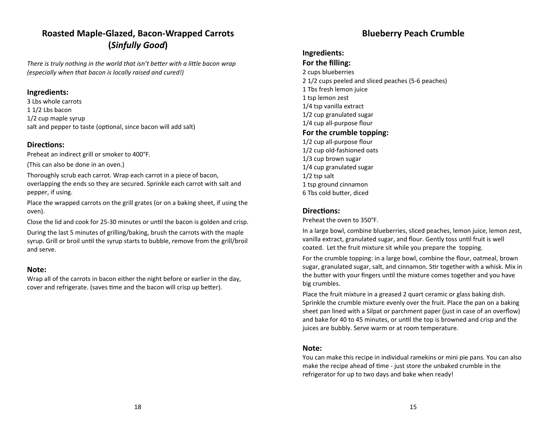## **Roasted Maple‐Glazed, Bacon‐Wrapped Carrots (***Sinfully Good***)**

*There is truly nothing in the world that isn't better with a little bacon wrap (especially when that bacon is locally raised and cured!)* 

## **Ingredients:**

3 Lbs whole carrots 1 1/2 Lbs bacon 1/2 cup maple syrup salt and pepper to taste (optional, since bacon will add salt)

## **DirecƟons:**

Preheat an indirect grill or smoker to 400°F.

(This can also be done in an oven.)

Thoroughly scrub each carrot. Wrap each carrot in a piece of bacon, overlapping the ends so they are secured. Sprinkle each carrot with salt and pepper, if using.

Place the wrapped carrots on the grill grates (or on a baking sheet, if using the oven).

Close the lid and cook for 25-30 minutes or until the bacon is golden and crisp.

During the last 5 minutes of grilling/baking, brush the carrots with the maple syrup. Grill or broil until the syrup starts to bubble, remove from the grill/broil and serve.

#### **Note:**

Wrap all of the carrots in bacon either the night before or earlier in the day, cover and refrigerate. (saves time and the bacon will crisp up better).

## **Blueberry Peach Crumble**

**Ingredients:** 

**For the filling:**  2 cups blueberries 2 1/2 cups peeled and sliced peaches (5‐6 peaches) 1 Tbs fresh lemon juice 1 tsp lemon zest 1/4 tsp vanilla extract 1/2 cup granulated sugar 1/4 cup all‐purpose flour **For the crumble topping:**  1/2 cup all‐purpose flour 1/2 cup old‐fashioned oats 1/3 cup brown sugar 1/4 cup granulated sugar 1/2 tsp salt 1 tsp ground cinnamon 6 Tbs cold buƩer, diced

## **DirecƟons:**

Preheat the oven to 350°F.

In a large bowl, combine blueberries, sliced peaches, lemon juice, lemon zest, vanilla extract, granulated sugar, and flour. Gently toss until fruit is well coated. Let the fruit mixture sit while you prepare the topping.

For the crumble topping: in a large bowl, combine the flour, oatmeal, brown sugar, granulated sugar, salt, and cinnamon. Stir together with a whisk. Mix in the butter with your fingers until the mixture comes together and you have big crumbles.

Place the fruit mixture in a greased 2 quart ceramic or glass baking dish. Sprinkle the crumble mixture evenly over the fruit. Place the pan on a baking sheet pan lined with a Silpat or parchment paper (just in case of an overflow) and bake for 40 to 45 minutes, or until the top is browned and crisp and the juices are bubbly. Serve warm or at room temperature.

#### **Note:**

You can make this recipe in individual ramekins or mini pie pans. You can also make the recipe ahead of time - just store the unbaked crumble in the refrigerator for up to two days and bake when ready!